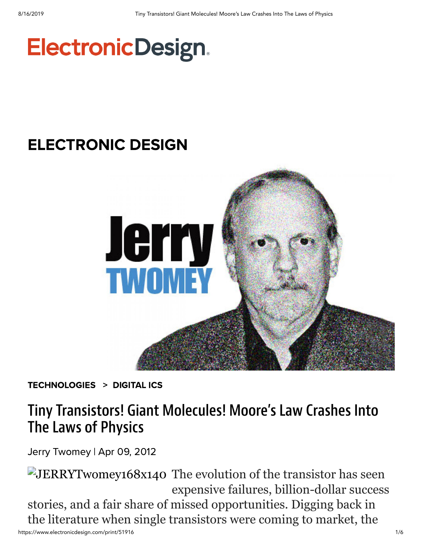# **ElectronicDesign.**

## [ELECTRONIC DESIGN](https://www.electronicdesign.com/electronic-design-0)



[TECHNOLOGIES](https://www.electronicdesign.com/technologies) > [DIGITAL](https://www.electronicdesign.com/technologies/digital-ics) ICS

## Tiny Transistors! Giant Molecules! Moore's Law Crashes Into The Laws of Physics

Jerry [Twomey](https://www.electronicdesign.com/author/jerry-twomey) | Apr 09, 2012

https://www.electronicdesign.com/print/51916 1/6 JERRYTwomey168x140 The evolution of the transistor has seen expensive failures, billion-dollar success stories, and a fair share of missed opportunities. Digging back in the literature when single transistors were coming to market, the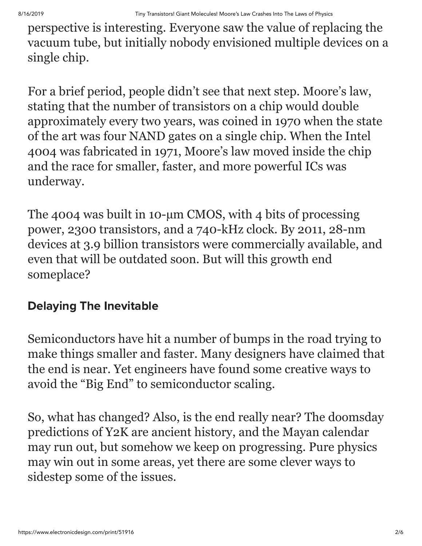perspective is interesting. Everyone saw the value of replacing the vacuum tube, but initially nobody envisioned multiple devices on a single chip.

For a brief period, people didn't see that next step. Moore's law, stating that the number of transistors on a chip would double approximately every two years, was coined in 1970 when the state of the art was four NAND gates on a single chip. When the Intel 4004 was fabricated in 1971, Moore's law moved inside the chip and the race for smaller, faster, and more powerful ICs was underway.

The 4004 was built in 10-µm CMOS, with 4 bits of processing power, 2300 transistors, and a 740-kHz clock. By 2011, 28-nm devices at 3.9 billion transistors were commercially available, and even that will be outdated soon. But will this growth end someplace?

### Delaying The Inevitable

Semiconductors have hit a number of bumps in the road trying to make things smaller and faster. Many designers have claimed that the end is near. Yet engineers have found some creative ways to avoid the "Big End" to semiconductor scaling.

So, what has changed? Also, is the end really near? The doomsday predictions of Y2K are ancient history, and the Mayan calendar may run out, but somehow we keep on progressing. Pure physics may win out in some areas, yet there are some clever ways to sidestep some of the issues.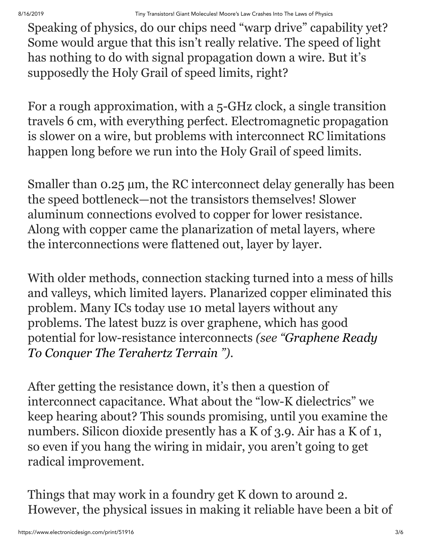Speaking of physics, do our chips need "warp drive" capability yet? Some would argue that this isn't really relative. The speed of light has nothing to do with signal propagation down a wire. But it's supposedly the Holy Grail of speed limits, right?

For a rough approximation, with a 5-GHz clock, a single transition travels 6 cm, with everything perfect. Electromagnetic propagation is slower on a wire, but problems with interconnect RC limitations happen long before we run into the Holy Grail of speed limits.

Smaller than 0.25  $\mu$ m, the RC interconnect delay generally has been the speed bottleneck—not the transistors themselves! Slower aluminum connections evolved to copper for lower resistance. Along with copper came the planarization of metal layers, where the interconnections were flattened out, layer by layer.

With older methods, connection stacking turned into a mess of hills and valleys, which limited layers. Planarized copper eliminated this problem. Many ICs today use 10 metal layers without any problems. The latest buzz is over graphene, which has good [potential for low-resistance interconnects](https://www.electronicdesign.com/article/digital/graphene-ready-to-conquer-the-terahertz-terrain-) *(see "Graphene Ready To Conquer The Terahertz Terrain ")*.

After getting the resistance down, it's then a question of interconnect capacitance. What about the "low-K dielectrics" we keep hearing about? This sounds promising, until you examine the numbers. Silicon dioxide presently has a K of 3.9. Air has a K of 1, so even if you hang the wiring in midair, you aren't going to get radical improvement.

Things that may work in a foundry get K down to around 2. However, the physical issues in making it reliable have been a bit of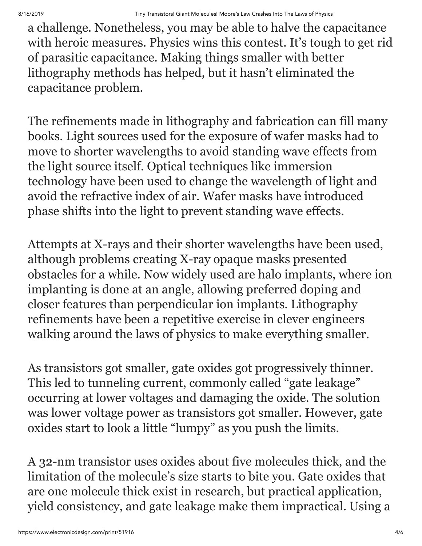a challenge. Nonetheless, you may be able to halve the capacitance with heroic measures. Physics wins this contest. It's tough to get rid of parasitic capacitance. Making things smaller with better lithography methods has helped, but it hasn't eliminated the capacitance problem.

The refinements made in lithography and fabrication can fill many books. Light sources used for the exposure of wafer masks had to move to shorter wavelengths to avoid standing wave effects from the light source itself. Optical techniques like immersion technology have been used to change the wavelength of light and avoid the refractive index of air. Wafer masks have introduced phase shifts into the light to prevent standing wave effects.

Attempts at X-rays and their shorter wavelengths have been used, although problems creating X-ray opaque masks presented obstacles for a while. Now widely used are halo implants, where ion implanting is done at an angle, allowing preferred doping and closer features than perpendicular ion implants. Lithography refinements have been a repetitive exercise in clever engineers walking around the laws of physics to make everything smaller.

As transistors got smaller, gate oxides got progressively thinner. This led to tunneling current, commonly called "gate leakage" occurring at lower voltages and damaging the oxide. The solution was lower voltage power as transistors got smaller. However, gate oxides start to look a little "lumpy" as you push the limits.

A 32-nm transistor uses oxides about five molecules thick, and the limitation of the molecule's size starts to bite you. Gate oxides that are one molecule thick exist in research, but practical application, yield consistency, and gate leakage make them impractical. Using a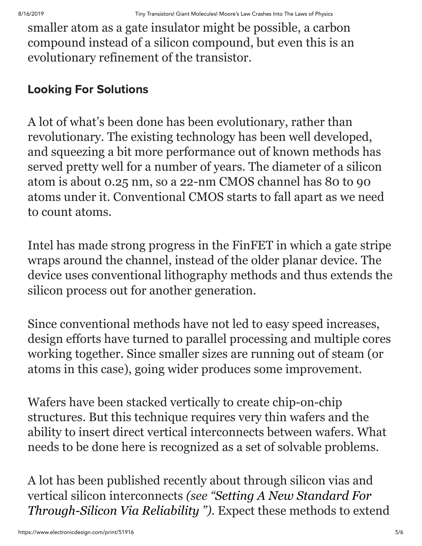smaller atom as a gate insulator might be possible, a carbon compound instead of a silicon compound, but even this is an evolutionary refinement of the transistor.

### Looking For Solutions

A lot of what's been done has been evolutionary, rather than revolutionary. The existing technology has been well developed, and squeezing a bit more performance out of known methods has served pretty well for a number of years. The diameter of a silicon atom is about 0.25 nm, so a 22-nm CMOS channel has 80 to 90 atoms under it. Conventional CMOS starts to fall apart as we need to count atoms.

Intel has made strong progress in the FinFET in which a gate stripe wraps around the channel, instead of the older planar device. The device uses conventional lithography methods and thus extends the silicon process out for another generation.

Since conventional methods have not led to easy speed increases, design efforts have turned to parallel processing and multiple cores working together. Since smaller sizes are running out of steam (or atoms in this case), going wider produces some improvement.

Wafers have been stacked vertically to create chip-on-chip structures. But this technique requires very thin wafers and the ability to insert direct vertical interconnects between wafers. What needs to be done here is recognized as a set of solvable problems.

A lot has been published recently about through silicon vias and vertical silicon interconnects *[\(see "Setting A New Standard For](https://www.electronicdesign.com/article/components/setting_a_new_standard_for_through_silicon_via_reliability) Through-Silicon Via Reliability ")*. Expect these methods to extend